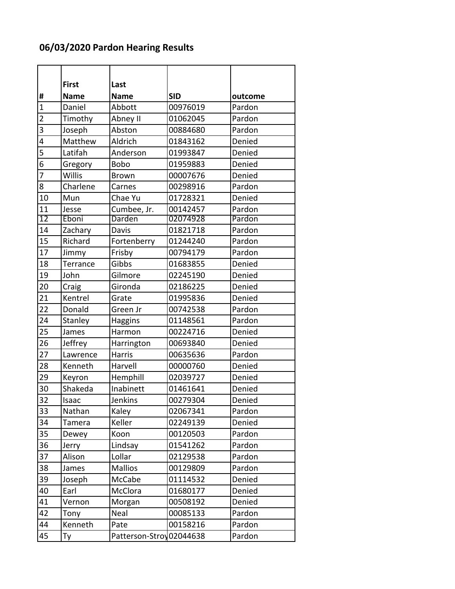## **06/03/2020 Pardon Hearing Results**

|                 | <b>First</b> | Last                     |            |         |
|-----------------|--------------|--------------------------|------------|---------|
| #               | <b>Name</b>  | <b>Name</b>              | <b>SID</b> | outcome |
| $\overline{1}$  | Daniel       | Abbott                   | 00976019   | Pardon  |
| $\overline{2}$  | Timothy      | Abney II                 | 01062045   | Pardon  |
| 3               | Joseph       | Abston                   | 00884680   | Pardon  |
| 4               | Matthew      | Aldrich                  | 01843162   | Denied  |
| 5               | Latifah      | Anderson                 | 01993847   | Denied  |
| 6               | Gregory      | <b>Bobo</b>              | 01959883   | Denied  |
| 7               | Willis       | <b>Brown</b>             | 00007676   | Denied  |
| 8               | Charlene     | Carnes                   | 00298916   | Pardon  |
| 10              | Mun          | Chae Yu                  | 01728321   | Denied  |
| 11              | Jesse        | Cumbee, Jr.              | 00142457   | Pardon  |
| $\overline{12}$ | Eboni        | Darden                   | 02074928   | Pardon  |
| 14              | Zachary      | Davis                    | 01821718   | Pardon  |
| 15              | Richard      | Fortenberry              | 01244240   | Pardon  |
| 17              | Jimmy        | Frisby                   | 00794179   | Pardon  |
| 18              | Terrance     | Gibbs                    | 01683855   | Denied  |
| 19              | John         | Gilmore                  | 02245190   | Denied  |
| 20              | Craig        | Gironda                  | 02186225   | Denied  |
| 21              | Kentrel      | Grate                    | 01995836   | Denied  |
| 22              | Donald       | Green Jr                 | 00742538   | Pardon  |
| 24              | Stanley      | Haggins                  | 01148561   | Pardon  |
| 25              | James        | Harmon                   | 00224716   | Denied  |
| 26              | Jeffrey      | Harrington               | 00693840   | Denied  |
| 27              | Lawrence     | <b>Harris</b>            | 00635636   | Pardon  |
| 28              | Kenneth      | Harvell                  | 00000760   | Denied  |
| 29              | Keyron       | Hemphill                 | 02039727   | Denied  |
| 30              | Shakeda      | Inabinett                | 01461641   | Denied  |
| 32              | Isaac        | Jenkins                  | 00279304   | Denied  |
| 33              | Nathan       | Kaley                    | 02067341   | Pardon  |
| 34              | Tamera       | Keller                   | 02249139   | Denied  |
| 35              | Dewey        | Koon                     | 00120503   | Pardon  |
| 36              | Jerry        | Lindsay                  | 01541262   | Pardon  |
| 37              | Alison       | Lollar                   | 02129538   | Pardon  |
| 38              | James        | <b>Mallios</b>           | 00129809   | Pardon  |
| 39              | Joseph       | McCabe                   | 01114532   | Denied  |
| 40              | Earl         | McClora                  | 01680177   | Denied  |
| 41              | Vernon       | Morgan                   | 00508192   | Denied  |
| 42              | Tony         | Neal                     | 00085133   | Pardon  |
| 44              | Kenneth      | Pate                     | 00158216   | Pardon  |
| 45              | Ty           | Patterson-Stroy 02044638 |            | Pardon  |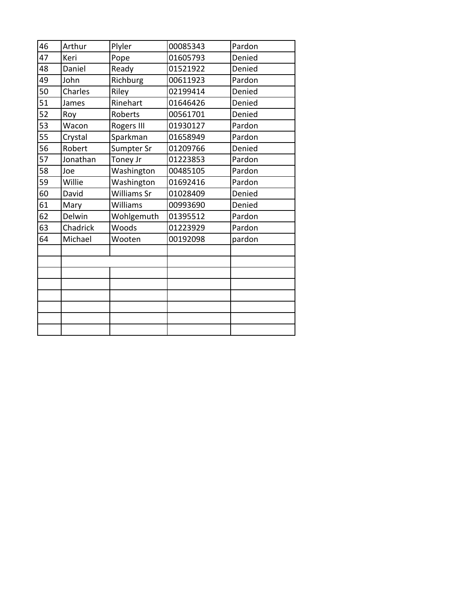| 46 | Arthur   | Plyler             | 00085343 | Pardon |
|----|----------|--------------------|----------|--------|
| 47 | Keri     | Pope               | 01605793 | Denied |
| 48 | Daniel   | Ready              | 01521922 | Denied |
| 49 | John     | Richburg           | 00611923 | Pardon |
| 50 | Charles  | Riley              | 02199414 | Denied |
| 51 | James    | Rinehart           | 01646426 | Denied |
| 52 | Roy      | Roberts            | 00561701 | Denied |
| 53 | Wacon    | Rogers III         | 01930127 | Pardon |
| 55 | Crystal  | Sparkman           | 01658949 | Pardon |
| 56 | Robert   | Sumpter Sr         | 01209766 | Denied |
| 57 | Jonathan | Toney Jr           | 01223853 | Pardon |
| 58 | Joe      | Washington         | 00485105 | Pardon |
| 59 | Willie   | Washington         | 01692416 | Pardon |
| 60 | David    | <b>Williams Sr</b> | 01028409 | Denied |
| 61 | Mary     | Williams           | 00993690 | Denied |
| 62 | Delwin   | Wohlgemuth         | 01395512 | Pardon |
| 63 | Chadrick | Woods              | 01223929 | Pardon |
| 64 | Michael  | Wooten             | 00192098 | pardon |
|    |          |                    |          |        |
|    |          |                    |          |        |
|    |          |                    |          |        |
|    |          |                    |          |        |
|    |          |                    |          |        |
|    |          |                    |          |        |
|    |          |                    |          |        |
|    |          |                    |          |        |